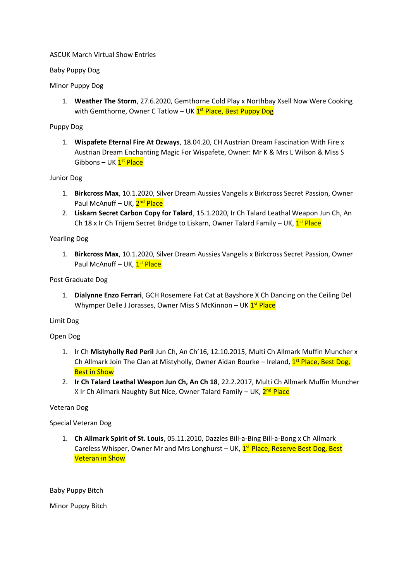### ASCUK March Virtual Show Entries

## Baby Puppy Dog

## Minor Puppy Dog

1. **Weather The Storm**, 27.6.2020, Gemthorne Cold Play x Northbay Xsell Now Were Cooking with Gemthorne, Owner C Tatlow – UK <mark>1st Place, Best Puppy Dog</mark>

## Puppy Dog

1. **Wispafete Eternal Fire At Ozways**, 18.04.20, CH Austrian Dream Fascination With Fire x Austrian Dream Enchanting Magic For Wispafete, Owner: Mr K & Mrs L Wilson & Miss S Gibbons – UK <mark>1<sup>st</sup> Place</mark>

## Junior Dog

- 1. **Birkcross Max**, 10.1.2020, Silver Dream Aussies Vangelis x Birkcross Secret Passion, Owner Paul McAnuff – UK, 2<sup>nd</sup> Place
- 2. **Liskarn Secret Carbon Copy for Talard**, 15.1.2020, Ir Ch Talard Leathal Weapon Jun Ch, An Ch 18 x Ir Ch Trijem Secret Bridge to Liskarn, Owner Talard Family – UK, 1<sup>st</sup> Place

## Yearling Dog

1. **Birkcross Max**, 10.1.2020, Silver Dream Aussies Vangelis x Birkcross Secret Passion, Owner Paul McAnuff – UK, <mark>1<sup>st</sup> Place</mark>

Post Graduate Dog

1. **Dialynne Enzo Ferrari**, GCH Rosemere Fat Cat at Bayshore X Ch Dancing on the Ceiling Del Whymper Delle J Jorasses, Owner Miss S McKinnon – UK <mark>1<sup>st</sup> Place</mark>

### Limit Dog

### Open Dog

- 1. Ir Ch **Mistyholly Red Peril** Jun Ch, An Ch'16, 12.10.2015, Multi Ch Allmark Muffin Muncher x Ch Allmark Join The Clan at Mistyholly, Owner Aidan Bourke – Ireland, <sup>1st</sup> Place, Best Dog, Best in Show
- 2. **Ir Ch Talard Leathal Weapon Jun Ch, An Ch 18**, 22.2.2017, Multi Ch Allmark Muffin Muncher X Ir Ch Allmark Naughty But Nice, Owner Talard Family – UK, 2<sup>nd</sup> Place

# Veteran Dog

# Special Veteran Dog

1. **Ch Allmark Spirit of St. Louis**, 05.11.2010, Dazzles Bill-a-Bing Bill-a-Bong x Ch Allmark Careless Whisper, Owner Mr and Mrs Longhurst - UK, 1<sup>st</sup> Place, Reserve Best Dog, Best Veteran in Show

Baby Puppy Bitch

Minor Puppy Bitch